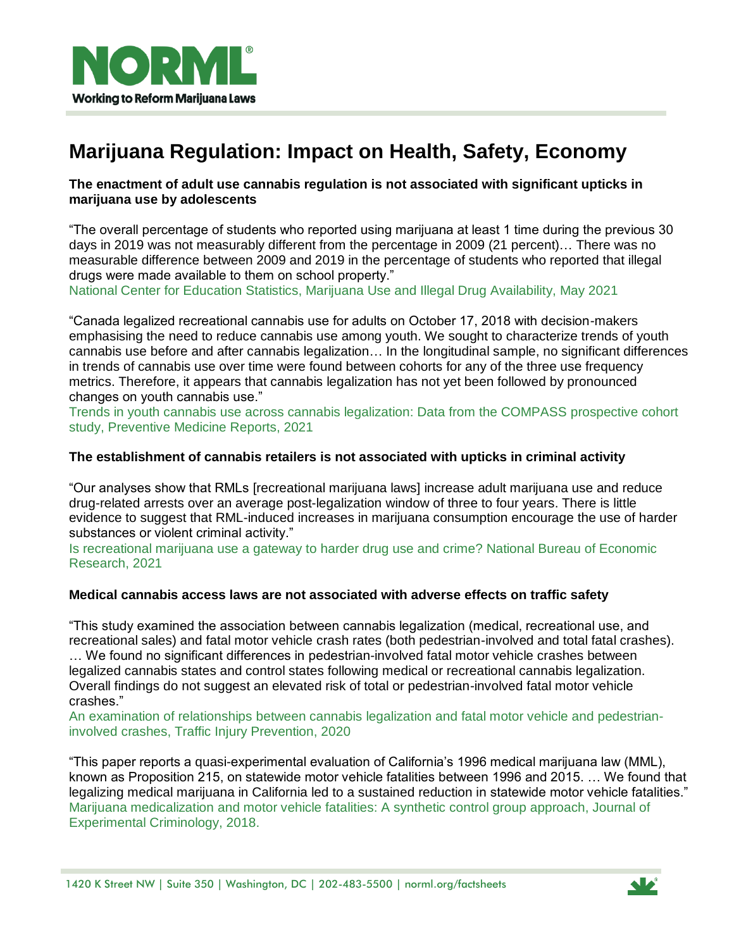

# **Marijuana Regulation: Impact on Health, Safety, Economy**

## **The enactment of adult use cannabis regulation is not associated with significant upticks in marijuana use by adolescents**

"The overall percentage of students who reported using marijuana at least 1 time during the previous 30 days in 2019 was not measurably different from the percentage in 2009 (21 percent)… There was no measurable difference between 2009 and 2019 in the percentage of students who reported that illegal drugs were made available to them on school property."

National Center for Education Statistics, Marijuana Use and Illegal Drug [Availability,](https://nces.ed.gov/programs/coe/indicator/a15) May 2021

"Canada legalized recreational cannabis use for adults on October 17, 2018 with decision-makers emphasising the need to reduce cannabis use among youth. We sought to characterize trends of youth cannabis use before and after cannabis legalization… In the longitudinal sample, no significant differences in trends of cannabis use over time were found between cohorts for any of the three use frequency metrics. Therefore, it appears that cannabis legalization has not yet been followed by pronounced changes on youth cannabis use."

Trends in youth cannabis use across cannabis [legalization:](https://www.sciencedirect.com/science/article/pii/S2211335521000425) Data from the COMPASS prospective cohort study, [Preventive](https://www.sciencedirect.com/science/article/pii/S2211335521000425) Medicine Reports, 2021

# **The establishment of cannabis retailers is not associated with upticks in criminal activity**

"Our analyses show that RMLs [recreational marijuana laws] increase adult marijuana use and reduce drug-related arrests over an average post-legalization window of three to four years. There is little evidence to suggest that RML-induced increases in marijuana consumption encourage the use of harder substances or violent criminal activity."

Is [recreational](https://www.nber.org/system/files/working_papers/w29038/w29038.pdf) marijuana use a gateway to harder drug use and crime? National Bureau of Economic [Research,](https://www.nber.org/system/files/working_papers/w29038/w29038.pdf) 2021

#### **Medical cannabis access laws are not associated with adverse effects on traffic safety**

"This study examined the association between cannabis legalization (medical, recreational use, and recreational sales) and fatal motor vehicle crash rates (both pedestrian-involved and total fatal crashes). … We found no significant differences in pedestrian-involved fatal motor vehicle crashes between legalized cannabis states and control states following medical or recreational cannabis legalization. Overall findings do not suggest an elevated risk of total or pedestrian-involved fatal motor vehicle crashes."

An examination of [relationships](https://pubmed.ncbi.nlm.nih.gov/32856949/) between cannabis legalization and fatal motor vehicle and pedestrianinvolved crashes, Traffic Injury [Prevention,](https://pubmed.ncbi.nlm.nih.gov/32856949/) 2020

"This paper reports a quasi-experimental evaluation of California"s 1996 medical marijuana law (MML), known as Proposition 215, on statewide motor vehicle fatalities between 1996 and 2015. … We found that legalizing medical marijuana in California led to a sustained reduction in statewide motor vehicle fatalities." Marijuana [medicalization](https://link.springer.com/article/10.1007/s11292-018-9345-3) and motor vehicle fatalities: A synthetic control group approach, Journal of [Experimental](https://link.springer.com/article/10.1007/s11292-018-9345-3) Criminology, 2018.